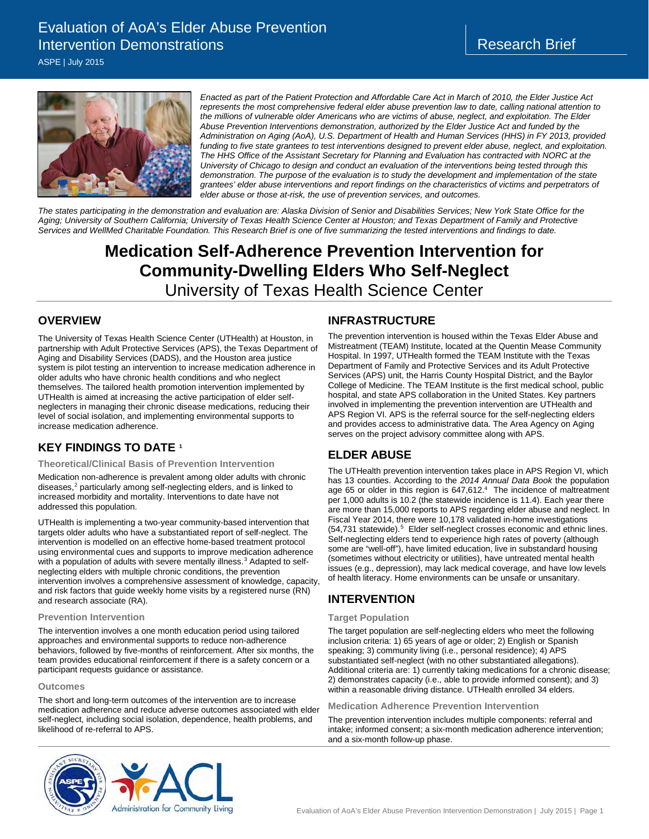## Evaluation of AoA's Elder Abuse Prevention Intervention Demonstrations

ASPE | July 2015



*Enacted as part of the Patient Protection and Affordable Care Act in March of 2010, the Elder Justice Act represents the most comprehensive federal elder abuse prevention law to date, calling national attention to the millions of vulnerable older Americans who are victims of abuse, neglect, and exploitation. The Elder Abuse Prevention Interventions demonstration, authorized by the Elder Justice Act and funded by the Administration on Aging (AoA), U.S. Department of Health and Human Services (HHS) in FY 2013, provided*  funding to five state grantees to test interventions designed to prevent elder abuse, neglect, and exploitation. *The HHS Office of the Assistant Secretary for Planning and Evaluation has contracted with NORC at the University of Chicago to design and conduct an evaluation of the interventions being tested through this demonstration. The purpose of the evaluation is to study the development and implementation of the state grantees' elder abuse interventions and report findings on the characteristics of victims and perpetrators of elder abuse or those at-risk, the use of prevention services, and outcomes.* 

*The states participating in the demonstration and evaluation are: Alaska Division of Senior and Disabilities Services; New York State Office for the Aging; University of Southern California; University of Texas Health Science Center at Houston; and Texas Department of Family and Protective Services and WellMed Charitable Foundation. This Research Brief is one of five summarizing the tested interventions and findings to date.*

# **Medication Self-Adherence Prevention Intervention for Community-Dwelling Elders Who Self-Neglect**  University of Texas Health Science Center

#### **OVERVIEW**

The University of Texas Health Science Center (UTHealth) at Houston, in partnership with Adult Protective Services (APS), the Texas Department of Aging and Disability Services (DADS), and the Houston area justice system is pilot testing an intervention to increase medication adherence in older adults who have chronic health conditions and who neglect themselves. The tailored health promotion intervention implemented by UTHealth is aimed at increasing the active participation of elder selfneglecters in managing their chronic disease medications, reducing their level of social isolation, and implementing environmental supports to increase medication adherence.

## **KEY FINDINGS TO DATE [1](#page-1-0)**

#### **Theoretical/Clinical Basis of Prevention Intervention**

Medication non-adherence is prevalent among older adults with chronic diseases,<sup>[2](#page-1-1)</sup> particularly among self-neglecting elders, and is linked to increased morbidity and mortality. Interventions to date have not addressed this population.

UTHealth is implementing a two-year community-based intervention that targets older adults who have a substantiated report of self-neglect. The intervention is modelled on an effective home-based treatment protocol using environmental cues and supports to improve medication adherence with a population of adults with severe mentally illness.<sup>[3](#page-1-2)</sup> Adapted to selfneglecting elders with multiple chronic conditions, the prevention intervention involves a comprehensive assessment of knowledge, capacity, and risk factors that guide weekly home visits by a registered nurse (RN) and research associate (RA).

#### **Prevention Intervention**

The intervention involves a one month education period using tailored approaches and environmental supports to reduce non-adherence behaviors, followed by five-months of reinforcement. After six months, the team provides educational reinforcement if there is a safety concern or a participant requests guidance or assistance.

#### **Outcomes**

The short and long-term outcomes of the intervention are to increase medication adherence and reduce adverse outcomes associated with elder self-neglect, including social isolation, dependence, health problems, and likelihood of re-referral to APS.

#### **INFRASTRUCTURE**

The prevention intervention is housed within the Texas Elder Abuse and Mistreatment (TEAM) Institute, located at the Quentin Mease Community Hospital. In 1997, UTHealth formed the TEAM Institute with the Texas Department of Family and Protective Services and its Adult Protective Services (APS) unit, the Harris County Hospital District, and the Baylor College of Medicine. The TEAM Institute is the first medical school, public hospital, and state APS collaboration in the United States. Key partners involved in implementing the prevention intervention are UTHealth and APS Region VI. APS is the referral source for the self-neglecting elders and provides access to administrative data. The Area Agency on Aging serves on the project advisory committee along with APS.

#### **ELDER ABUSE**

The UTHealth prevention intervention takes place in APS Region VI, which has 13 counties. According to the *2014 Annual Data Book* the population age 65 or older in this region is 647,61[2.](#page-1-3)<sup>4</sup> The incidence of maltreatment per 1,000 adults is 10.2 (the statewide incidence is 11.4). Each year there are more than 15,000 reports to APS regarding elder abuse and neglect. In Fiscal Year 2014, there were 10,178 validated in-home investigations ([5](#page-1-4)4,731 statewide).<sup>5</sup> Elder self-neglect crosses economic and ethnic lines. Self-neglecting elders tend to experience high rates of poverty (although some are "well-off"), have limited education, live in substandard housing (sometimes without electricity or utilities), have untreated mental health issues (e.g., depression), may lack medical coverage, and have low levels of health literacy. Home environments can be unsafe or unsanitary.

## **INTERVENTION**

#### **Target Population**

The target population are self-neglecting elders who meet the following inclusion criteria: 1) 65 years of age or older; 2) English or Spanish speaking; 3) community living (i.e., personal residence); 4) APS substantiated self-neglect (with no other substantiated allegations). Additional criteria are: 1) currently taking medications for a chronic disease; 2) demonstrates capacity (i.e., able to provide informed consent); and 3) within a reasonable driving distance. UTHealth enrolled 34 elders.

**Medication Adherence Prevention Intervention** 

The prevention intervention includes multiple components: referral and intake; informed consent; a six-month medication adherence intervention; and a six-month follow-up phase.